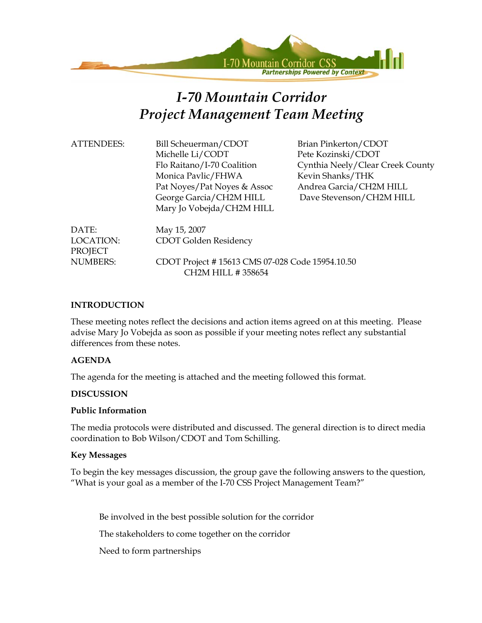

# *I-70 Mountain Corridor Project Management Team Meeting*

| <b>ATTENDEES:</b>                    | Bill Scheuerman/CDOT<br>Michelle Li/CODT<br>Flo Raitano/I-70 Coalition<br>Monica Pavlic/FHWA<br>Pat Noyes/Pat Noyes & Assoc | Brian Pinkerton/CDOT<br>Pete Kozinski/CDOT<br>Cynthia Neely/Clear Creek County<br>Kevin Shanks/THK<br>Andrea Garcia/CH2M HILL |
|--------------------------------------|-----------------------------------------------------------------------------------------------------------------------------|-------------------------------------------------------------------------------------------------------------------------------|
|                                      | George Garcia/CH2M HILL<br>Mary Jo Vobejda/CH2M HILL                                                                        | Dave Stevenson/CH2M HILL                                                                                                      |
| DATE:<br>LOCATION:<br><b>PROJECT</b> | May 15, 2007<br>CDOT Golden Residency                                                                                       |                                                                                                                               |
| <b>NUMBERS:</b>                      | CDOT Project #15613 CMS 07-028 Code 15954.10.50<br>CH2M HILL #358654                                                        |                                                                                                                               |

### **INTRODUCTION**

These meeting notes reflect the decisions and action items agreed on at this meeting. Please advise Mary Jo Vobejda as soon as possible if your meeting notes reflect any substantial differences from these notes.

### **AGENDA**

The agenda for the meeting is attached and the meeting followed this format.

### **DISCUSSION**

#### **Public Information**

The media protocols were distributed and discussed. The general direction is to direct media coordination to Bob Wilson/CDOT and Tom Schilling.

### **Key Messages**

To begin the key messages discussion, the group gave the following answers to the question, "What is your goal as a member of the I-70 CSS Project Management Team?"

Be involved in the best possible solution for the corridor

The stakeholders to come together on the corridor

Need to form partnerships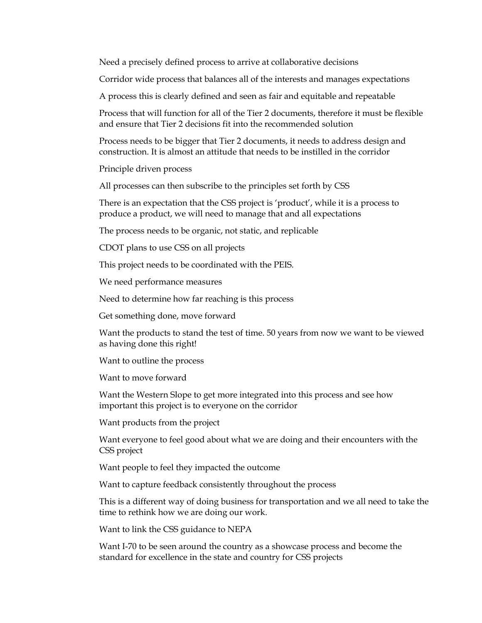Need a precisely defined process to arrive at collaborative decisions

Corridor wide process that balances all of the interests and manages expectations

A process this is clearly defined and seen as fair and equitable and repeatable

Process that will function for all of the Tier 2 documents, therefore it must be flexible and ensure that Tier 2 decisions fit into the recommended solution

Process needs to be bigger that Tier 2 documents, it needs to address design and construction. It is almost an attitude that needs to be instilled in the corridor

Principle driven process

All processes can then subscribe to the principles set forth by CSS

There is an expectation that the CSS project is 'product', while it is a process to produce a product, we will need to manage that and all expectations

The process needs to be organic, not static, and replicable

CDOT plans to use CSS on all projects

This project needs to be coordinated with the PEIS.

We need performance measures

Need to determine how far reaching is this process

Get something done, move forward

Want the products to stand the test of time. 50 years from now we want to be viewed as having done this right!

Want to outline the process

Want to move forward

Want the Western Slope to get more integrated into this process and see how important this project is to everyone on the corridor

Want products from the project

Want everyone to feel good about what we are doing and their encounters with the CSS project

Want people to feel they impacted the outcome

Want to capture feedback consistently throughout the process

This is a different way of doing business for transportation and we all need to take the time to rethink how we are doing our work.

Want to link the CSS guidance to NEPA

Want I-70 to be seen around the country as a showcase process and become the standard for excellence in the state and country for CSS projects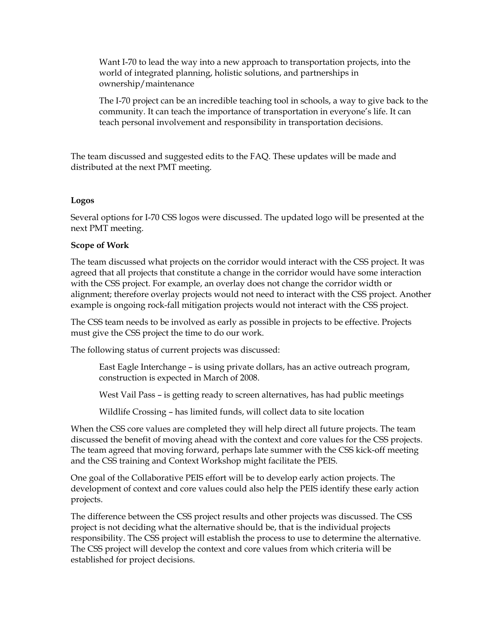Want I-70 to lead the way into a new approach to transportation projects, into the world of integrated planning, holistic solutions, and partnerships in ownership/maintenance

The I-70 project can be an incredible teaching tool in schools, a way to give back to the community. It can teach the importance of transportation in everyone's life. It can teach personal involvement and responsibility in transportation decisions.

The team discussed and suggested edits to the FAQ. These updates will be made and distributed at the next PMT meeting.

### **Logos**

Several options for I-70 CSS logos were discussed. The updated logo will be presented at the next PMT meeting.

#### **Scope of Work**

The team discussed what projects on the corridor would interact with the CSS project. It was agreed that all projects that constitute a change in the corridor would have some interaction with the CSS project. For example, an overlay does not change the corridor width or alignment; therefore overlay projects would not need to interact with the CSS project. Another example is ongoing rock-fall mitigation projects would not interact with the CSS project.

The CSS team needs to be involved as early as possible in projects to be effective. Projects must give the CSS project the time to do our work.

The following status of current projects was discussed:

East Eagle Interchange – is using private dollars, has an active outreach program, construction is expected in March of 2008.

West Vail Pass – is getting ready to screen alternatives, has had public meetings

Wildlife Crossing – has limited funds, will collect data to site location

When the CSS core values are completed they will help direct all future projects. The team discussed the benefit of moving ahead with the context and core values for the CSS projects. The team agreed that moving forward, perhaps late summer with the CSS kick-off meeting and the CSS training and Context Workshop might facilitate the PEIS.

One goal of the Collaborative PEIS effort will be to develop early action projects. The development of context and core values could also help the PEIS identify these early action projects.

The difference between the CSS project results and other projects was discussed. The CSS project is not deciding what the alternative should be, that is the individual projects responsibility. The CSS project will establish the process to use to determine the alternative. The CSS project will develop the context and core values from which criteria will be established for project decisions.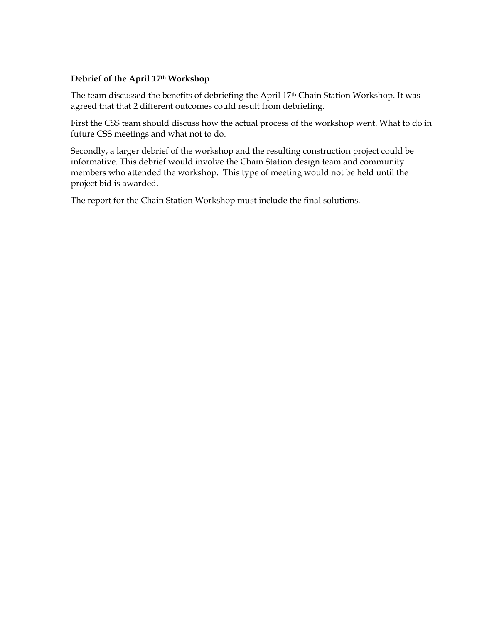### **Debrief of the April 17th Workshop**

The team discussed the benefits of debriefing the April 17th Chain Station Workshop. It was agreed that that 2 different outcomes could result from debriefing.

First the CSS team should discuss how the actual process of the workshop went. What to do in future CSS meetings and what not to do.

Secondly, a larger debrief of the workshop and the resulting construction project could be informative. This debrief would involve the Chain Station design team and community members who attended the workshop. This type of meeting would not be held until the project bid is awarded.

The report for the Chain Station Workshop must include the final solutions.